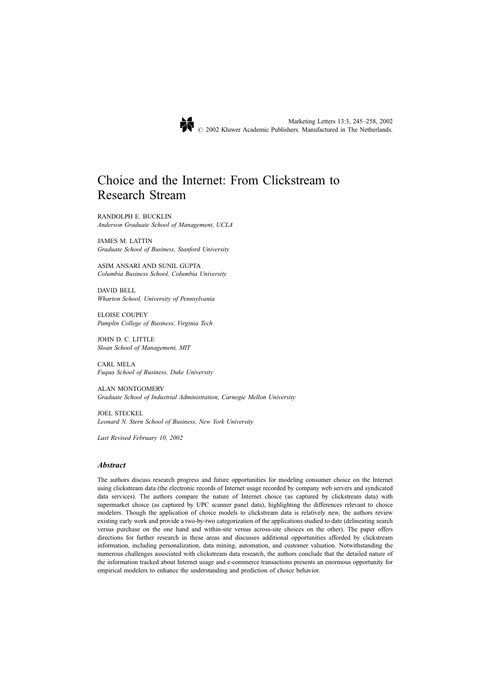

# Choice and the Internet: From Clickstream to Research Stream

RANDOLPH E. BUCKLIN Anderson Graduate School of Management, UCLA

JAMES M. LATTIN Graduate School of Business, Stanford University

ASIM ANSARI AND SUNIL GUPTA Columbia Business School, Columbia University

DAVID BELL Wharton School, University of Pennsylvania

ELOISE COUPEY Pamplin College of Business, Virginia Tech

JOHN D. C. LITTLE Sloan School of Management, MIT

CARL MELA Fuqua School of Business, Duke University

ALAN MONTGOMERY Graduate School of Industrial Administration, Carnegie Mellon University

JOEL STECKEL Leonard N. Stern School of Business, New York University

Last Revised February 10, 2002

# **Abstract**

The authors discuss research progress and future opportunities for modeling consumer choice on the Internet using clickstream data (the electronic records of Internet usage recorded by company web servers and syndicated data services). The authors compare the nature of Internet choice (as captured by clickstream data) with supermarket choice (as captured by UPC scanner panel data), highlighting the differences relevant to choice modelers. Though the application of choice models to clickstream data is relatively new, the authors review existing early work and provide a two-by-two categorization of the applications studied to date (delineating search versus purchase on the one hand and within-site versus across-site choices on the other). The paper offers directions for further research in these areas and discusses additional opportunities afforded by clickstream information, including personalization, data mining, automation, and customer valuation. Notwithstanding the numerous challenges associated with clickstream data research, the authors conclude that the detailed nature of the information tracked about Internet usage and e-commerce transactions presents an enormous opportunity for empirical modelers to enhance the understanding and prediction of choice behavior.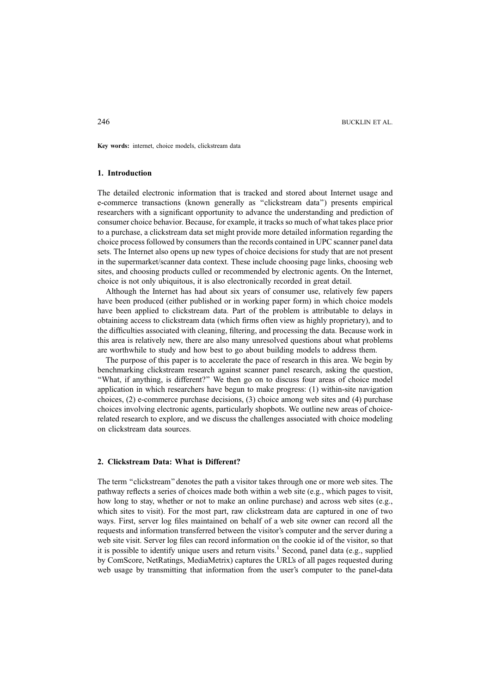Key words: internet, choice models, clickstream data

### 1. Introduction

The detailed electronic information that is tracked and stored about Internet usage and e-commerce transactions (known generally as ''clickstream data'') presents empirical researchers with a significant opportunity to advance the understanding and prediction of consumer choice behavior. Because, for example, it tracks so much of what takes place prior to a purchase, a clickstream data set might provide more detailed information regarding the choice process followed by consumers than the records contained in UPC scanner panel data sets. The Internet also opens up new types of choice decisions for study that are not present in the supermarket/scanner data context. These include choosing page links, choosing web sites, and choosing products culled or recommended by electronic agents. On the Internet, choice is not only ubiquitous, it is also electronically recorded in great detail.

Although the Internet has had about six years of consumer use, relatively few papers have been produced (either published or in working paper form) in which choice models have been applied to clickstream data. Part of the problem is attributable to delays in obtaining access to clickstream data (which firms often view as highly proprietary), and to the difficulties associated with cleaning, filtering, and processing the data. Because work in this area is relatively new, there are also many unresolved questions about what problems are worthwhile to study and how best to go about building models to address them.

The purpose of this paper is to accelerate the pace of research in this area. We begin by benchmarking clickstream research against scanner panel research, asking the question, "What, if anything, is different?" We then go on to discuss four areas of choice model application in which researchers have begun to make progress: (1) within-site navigation choices, (2) e-commerce purchase decisions, (3) choice among web sites and (4) purchase choices involving electronic agents, particularly shopbots. We outline new areas of choicerelated research to explore, and we discuss the challenges associated with choice modeling on clickstream data sources.

#### 2. Clickstream Data: What is Different?

The term "clickstream" denotes the path a visitor takes through one or more web sites. The pathway reflects a series of choices made both within a web site (e.g., which pages to visit, how long to stay, whether or not to make an online purchase) and across web sites (e.g., which sites to visit). For the most part, raw clickstream data are captured in one of two ways. First, server log files maintained on behalf of a web site owner can record all the requests and information transferred between the visitor's computer and the server during a web site visit. Server log files can record information on the cookie id of the visitor, so that it is possible to identify unique users and return visits.<sup>1</sup> Second, panel data (e.g., supplied by ComScore, NetRatings, MediaMetrix) captures the URL's of all pages requested during web usage by transmitting that information from the user's computer to the panel-data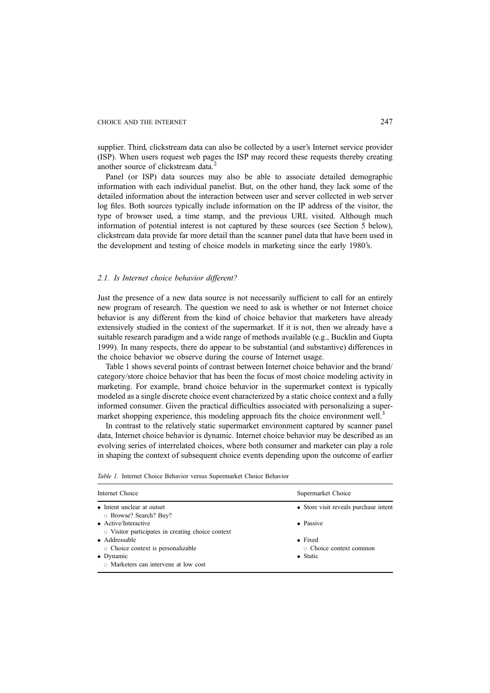supplier. Third, clickstream data can also be collected by a user's Internet service provider (ISP). When users request web pages the ISP may record these requests thereby creating another source of clickstream data.<sup>2</sup>

Panel (or ISP) data sources may also be able to associate detailed demographic information with each individual panelist. But, on the other hand, they lack some of the detailed information about the interaction between user and server collected in web server log files. Both sources typically include information on the IP address of the visitor, the type of browser used, a time stamp, and the previous URL visited. Although much information of potential interest is not captured by these sources (see Section 5 below), clickstream data provide far more detail than the scanner panel data that have been used in the development and testing of choice models in marketing since the early 1980's.

#### 2.1. Is Internet choice behavior different?

Just the presence of a new data source is not necessarily sufficient to call for an entirely new program of research. The question we need to ask is whether or not Internet choice behavior is any different from the kind of choice behavior that marketers have already extensively studied in the context of the supermarket. If it is not, then we already have a suitable research paradigm and a wide range of methods available (e.g., Bucklin and Gupta 1999). In many respects, there do appear to be substantial (and substantive) differences in the choice behavior we observe during the course of Internet usage.

Table 1 shows several points of contrast between Internet choice behavior and the brand/ category/store choice behavior that has been the focus of most choice modeling activity in marketing. For example, brand choice behavior in the supermarket context is typically modeled as a single discrete choice event characterized by a static choice context and a fully informed consumer. Given the practical difficulties associated with personalizing a supermarket shopping experience, this modeling approach fits the choice environment well.<sup>3</sup>

In contrast to the relatively static supermarket environment captured by scanner panel data, Internet choice behavior is dynamic. Internet choice behavior may be described as an evolving series of interrelated choices, where both consumer and marketer can play a role in shaping the context of subsequent choice events depending upon the outcome of earlier

|  |  |  |  |  | <i>Table 1.</i> Internet Choice Behavior versus Supermarket Choice Behavior |  |  |
|--|--|--|--|--|-----------------------------------------------------------------------------|--|--|
|--|--|--|--|--|-----------------------------------------------------------------------------|--|--|

| Internet Choice                                                                                                               | Supermarket Choice                                                   |
|-------------------------------------------------------------------------------------------------------------------------------|----------------------------------------------------------------------|
| • Intent unclear at outset<br>○ Browse? Search? Buy?                                                                          | • Store visit reveals purchase intent                                |
| • Active/Interactive<br>$\circ$ Visitor participates in creating choice context                                               | • Passive                                                            |
| • Addressable<br>$\circ$ Choice context is personalizable<br>$\bullet$ Dynamic<br>$\circ$ Marketers can intervene at low cost | $\bullet$ Fixed<br>$\circ$ Choice context common<br>$\bullet$ Static |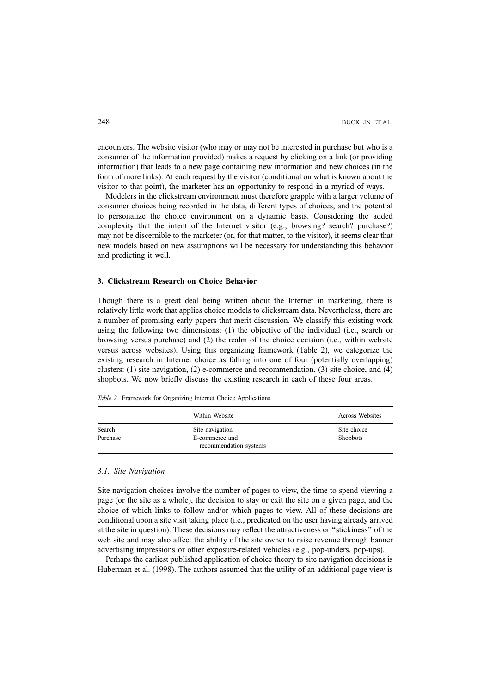encounters. The website visitor (who may or may not be interested in purchase but who is a consumer of the information provided) makes a request by clicking on a link (or providing information) that leads to a new page containing new information and new choices (in the form of more links). At each request by the visitor (conditional on what is known about the visitor to that point), the marketer has an opportunity to respond in a myriad of ways.

Modelers in the clickstream environment must therefore grapple with a larger volume of consumer choices being recorded in the data, different types of choices, and the potential to personalize the choice environment on a dynamic basis. Considering the added complexity that the intent of the Internet visitor (e.g., browsing? search? purchase?) may not be discernible to the marketer (or, for that matter, to the visitor), it seems clear that new models based on new assumptions will be necessary for understanding this behavior and predicting it well.

# 3. Clickstream Research on Choice Behavior

Though there is a great deal being written about the Internet in marketing, there is relatively little work that applies choice models to clickstream data. Nevertheless, there are a number of promising early papers that merit discussion. We classify this existing work using the following two dimensions: (1) the objective of the individual (i.e., search or browsing versus purchase) and (2) the realm of the choice decision (i.e., within website versus across websites). Using this organizing framework (Table 2), we categorize the existing research in Internet choice as falling into one of four (potentially overlapping) clusters: (1) site navigation, (2) e-commerce and recommendation, (3) site choice, and (4) shopbots. We now briefly discuss the existing research in each of these four areas.

Table 2. Framework for Organizing Internet Choice Applications

|                    | Within Website                                              | Across Websites<br>Site choice<br><b>Shopbots</b> |  |
|--------------------|-------------------------------------------------------------|---------------------------------------------------|--|
| Search<br>Purchase | Site navigation<br>E-commerce and<br>recommendation systems |                                                   |  |

#### 3.1. Site Navigation

Site navigation choices involve the number of pages to view, the time to spend viewing a page (or the site as a whole), the decision to stay or exit the site on a given page, and the choice of which links to follow and/or which pages to view. All of these decisions are conditional upon a site visit taking place (i.e., predicated on the user having already arrived at the site in question). These decisions may reflect the attractiveness or ''stickiness'' of the web site and may also affect the ability of the site owner to raise revenue through banner advertising impressions or other exposure-related vehicles (e.g., pop-unders, pop-ups).

Perhaps the earliest published application of choice theory to site navigation decisions is Huberman et al. (1998). The authors assumed that the utility of an additional page view is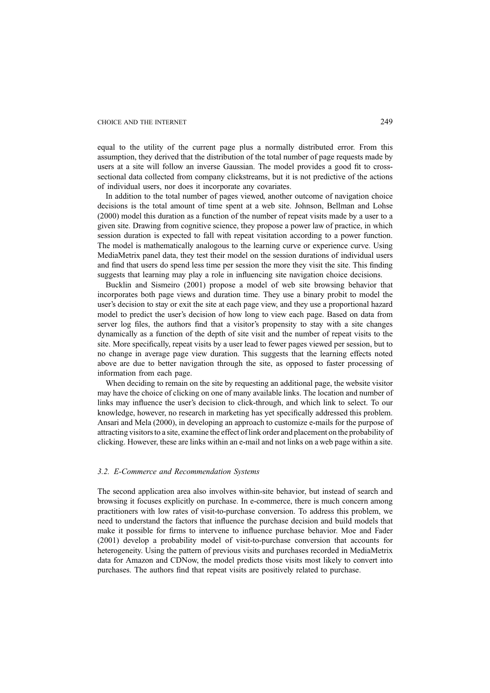equal to the utility of the current page plus a normally distributed error. From this assumption, they derived that the distribution of the total number of page requests made by users at a site will follow an inverse Gaussian. The model provides a good fit to crosssectional data collected from company clickstreams, but it is not predictive of the actions of individual users, nor does it incorporate any covariates.

In addition to the total number of pages viewed, another outcome of navigation choice decisions is the total amount of time spent at a web site. Johnson, Bellman and Lohse (2000) model this duration as a function of the number of repeat visits made by a user to a given site. Drawing from cognitive science, they propose a power law of practice, in which session duration is expected to fall with repeat visitation according to a power function. The model is mathematically analogous to the learning curve or experience curve. Using MediaMetrix panel data, they test their model on the session durations of individual users and find that users do spend less time per session the more they visit the site. This finding suggests that learning may play a role in influencing site navigation choice decisions.

Bucklin and Sismeiro (2001) propose a model of web site browsing behavior that incorporates both page views and duration time. They use a binary probit to model the user's decision to stay or exit the site at each page view, and they use a proportional hazard model to predict the user's decision of how long to view each page. Based on data from server log files, the authors find that a visitor's propensity to stay with a site changes dynamically as a function of the depth of site visit and the number of repeat visits to the site. More specifically, repeat visits by a user lead to fewer pages viewed per session, but to no change in average page view duration. This suggests that the learning effects noted above are due to better navigation through the site, as opposed to faster processing of information from each page.

When deciding to remain on the site by requesting an additional page, the website visitor may have the choice of clicking on one of many available links. The location and number of links may influence the user's decision to click-through, and which link to select. To our knowledge, however, no research in marketing has yet specifically addressed this problem. Ansari and Mela (2000), in developing an approach to customize e-mails for the purpose of attracting visitors to a site, examine the effect of link order and placement on the probability of clicking. However, these are links within an e-mail and not links on a web page within a site.

# 3.2. E-Commerce and Recommendation Systems

The second application area also involves within-site behavior, but instead of search and browsing it focuses explicitly on purchase. In e-commerce, there is much concern among practitioners with low rates of visit-to-purchase conversion. To address this problem, we need to understand the factors that influence the purchase decision and build models that make it possible for firms to intervene to influence purchase behavior. Moe and Fader (2001) develop a probability model of visit-to-purchase conversion that accounts for heterogeneity. Using the pattern of previous visits and purchases recorded in MediaMetrix data for Amazon and CDNow, the model predicts those visits most likely to convert into purchases. The authors find that repeat visits are positively related to purchase.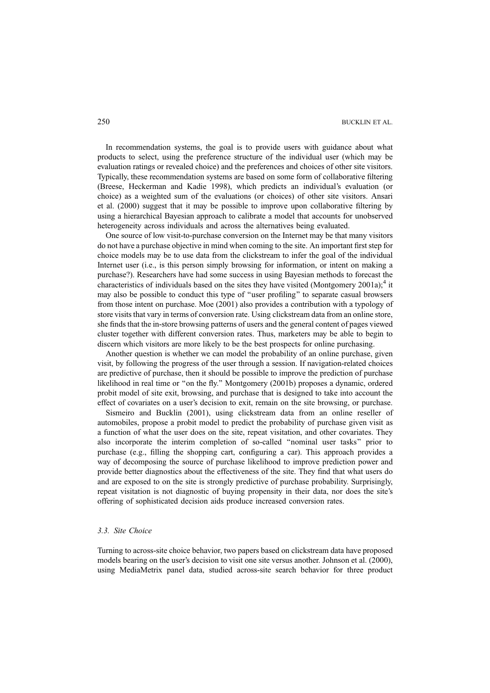In recommendation systems, the goal is to provide users with guidance about what products to select, using the preference structure of the individual user (which may be evaluation ratings or revealed choice) and the preferences and choices of other site visitors. Typically, these recommendation systems are based on some form of collaborative filtering (Breese, Heckerman and Kadie 1998), which predicts an individual's evaluation (or choice) as a weighted sum of the evaluations (or choices) of other site visitors. Ansari et al. (2000) suggest that it may be possible to improve upon collaborative filtering by using a hierarchical Bayesian approach to calibrate a model that accounts for unobserved heterogeneity across individuals and across the alternatives being evaluated.

One source of low visit-to-purchase conversion on the Internet may be that many visitors do not have a purchase objective in mind when coming to the site. An important first step for choice models may be to use data from the clickstream to infer the goal of the individual Internet user (i.e., is this person simply browsing for information, or intent on making a purchase?). Researchers have had some success in using Bayesian methods to forecast the characteristics of individuals based on the sites they have visited (Montgomery 2001a);<sup>4</sup> it may also be possible to conduct this type of ''user profiling'' to separate casual browsers from those intent on purchase. Moe (2001) also provides a contribution with a typology of store visits that vary in terms of conversion rate. Using clickstream data from an online store, she finds that the in-store browsing patterns of users and the general content of pages viewed cluster together with different conversion rates. Thus, marketers may be able to begin to discern which visitors are more likely to be the best prospects for online purchasing.

Another question is whether we can model the probability of an online purchase, given visit, by following the progress of the user through a session. If navigation-related choices are predictive of purchase, then it should be possible to improve the prediction of purchase likelihood in real time or ''on the fly.'' Montgomery (2001b) proposes a dynamic, ordered probit model of site exit, browsing, and purchase that is designed to take into account the effect of covariates on a user's decision to exit, remain on the site browsing, or purchase.

Sismeiro and Bucklin (2001), using clickstream data from an online reseller of automobiles, propose a probit model to predict the probability of purchase given visit as a function of what the user does on the site, repeat visitation, and other covariates. They also incorporate the interim completion of so-called ''nominal user tasks'' prior to purchase (e.g., filling the shopping cart, configuring a car). This approach provides a way of decomposing the source of purchase likelihood to improve prediction power and provide better diagnostics about the effectiveness of the site. They find that what users do and are exposed to on the site is strongly predictive of purchase probability. Surprisingly, repeat visitation is not diagnostic of buying propensity in their data, nor does the site's offering of sophisticated decision aids produce increased conversion rates.

#### 3.3. Site Choice

Turning to across-site choice behavior, two papers based on clickstream data have proposed models bearing on the user's decision to visit one site versus another. Johnson et al. (2000), using MediaMetrix panel data, studied across-site search behavior for three product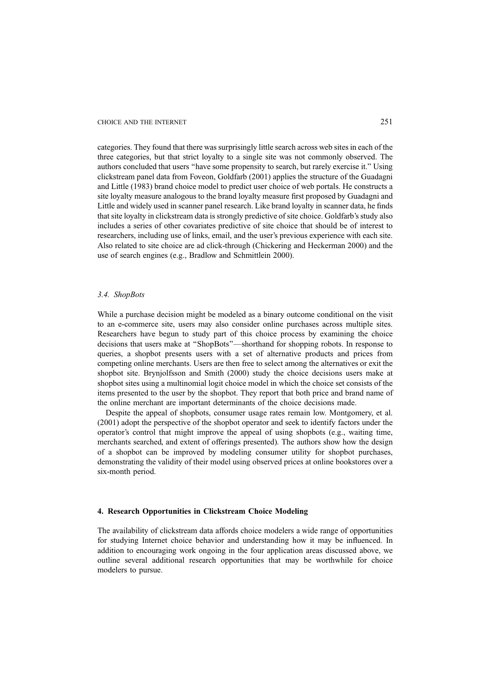categories. They found that there was surprisingly little search across web sites in each of the three categories, but that strict loyalty to a single site was not commonly observed. The authors concluded that users ''have some propensity to search, but rarely exercise it.'' Using clickstream panel data from Foveon, Goldfarb (2001) applies the structure of the Guadagni and Little (1983) brand choice model to predict user choice of web portals. He constructs a site loyalty measure analogous to the brand loyalty measure first proposed by Guadagni and Little and widely used in scanner panel research. Like brand loyalty in scanner data, he finds that site loyalty in clickstream data is strongly predictive of site choice. Goldfarb's study also includes a series of other covariates predictive of site choice that should be of interest to researchers, including use of links, email, and the user's previous experience with each site. Also related to site choice are ad click-through (Chickering and Heckerman 2000) and the use of search engines (e.g., Bradlow and Schmittlein 2000).

### 3.4. ShopBots

While a purchase decision might be modeled as a binary outcome conditional on the visit to an e-commerce site, users may also consider online purchases across multiple sites. Researchers have begun to study part of this choice process by examining the choice decisions that users make at ''ShopBots''—shorthand for shopping robots. In response to queries, a shopbot presents users with a set of alternative products and prices from competing online merchants. Users are then free to select among the alternatives or exit the shopbot site. Brynjolfsson and Smith (2000) study the choice decisions users make at shopbot sites using a multinomial logit choice model in which the choice set consists of the items presented to the user by the shopbot. They report that both price and brand name of the online merchant are important determinants of the choice decisions made.

Despite the appeal of shopbots, consumer usage rates remain low. Montgomery, et al. (2001) adopt the perspective of the shopbot operator and seek to identify factors under the operator's control that might improve the appeal of using shopbots (e.g., waiting time, merchants searched, and extent of offerings presented). The authors show how the design of a shopbot can be improved by modeling consumer utility for shopbot purchases, demonstrating the validity of their model using observed prices at online bookstores over a six-month period.

# 4. Research Opportunities in Clickstream Choice Modeling

The availability of clickstream data affords choice modelers a wide range of opportunities for studying Internet choice behavior and understanding how it may be influenced. In addition to encouraging work ongoing in the four application areas discussed above, we outline several additional research opportunities that may be worthwhile for choice modelers to pursue.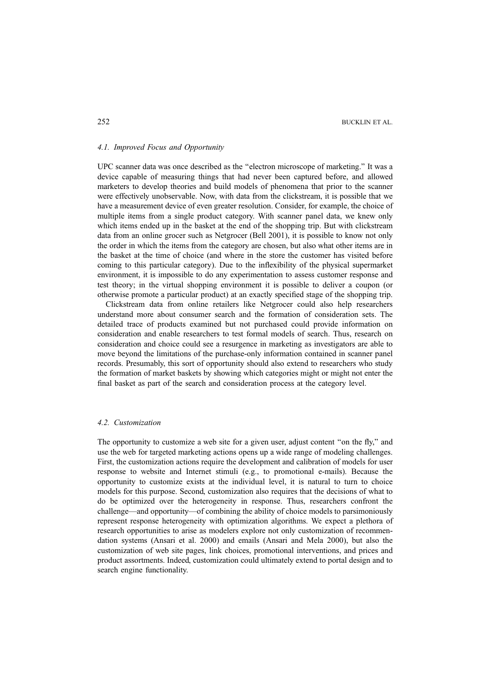#### 4.1. Improved Focus and Opportunity

UPC scanner data was once described as the ''electron microscope of marketing.'' It was a device capable of measuring things that had never been captured before, and allowed marketers to develop theories and build models of phenomena that prior to the scanner were effectively unobservable. Now, with data from the clickstream, it is possible that we have a measurement device of even greater resolution. Consider, for example, the choice of multiple items from a single product category. With scanner panel data, we knew only which items ended up in the basket at the end of the shopping trip. But with clickstream data from an online grocer such as Netgrocer (Bell 2001), it is possible to know not only the order in which the items from the category are chosen, but also what other items are in the basket at the time of choice (and where in the store the customer has visited before coming to this particular category). Due to the inflexibility of the physical supermarket environment, it is impossible to do any experimentation to assess customer response and test theory; in the virtual shopping environment it is possible to deliver a coupon (or otherwise promote a particular product) at an exactly specified stage of the shopping trip.

Clickstream data from online retailers like Netgrocer could also help researchers understand more about consumer search and the formation of consideration sets. The detailed trace of products examined but not purchased could provide information on consideration and enable researchers to test formal models of search. Thus, research on consideration and choice could see a resurgence in marketing as investigators are able to move beyond the limitations of the purchase-only information contained in scanner panel records. Presumably, this sort of opportunity should also extend to researchers who study the formation of market baskets by showing which categories might or might not enter the final basket as part of the search and consideration process at the category level.

#### 4.2. Customization

The opportunity to customize a web site for a given user, adjust content "on the fly," and use the web for targeted marketing actions opens up a wide range of modeling challenges. First, the customization actions require the development and calibration of models for user response to website and Internet stimuli (e.g., to promotional e-mails). Because the opportunity to customize exists at the individual level, it is natural to turn to choice models for this purpose. Second, customization also requires that the decisions of what to do be optimized over the heterogeneity in response. Thus, researchers confront the challenge—and opportunity—of combining the ability of choice models to parsimoniously represent response heterogeneity with optimization algorithms. We expect a plethora of research opportunities to arise as modelers explore not only customization of recommendation systems (Ansari et al. 2000) and emails (Ansari and Mela 2000), but also the customization of web site pages, link choices, promotional interventions, and prices and product assortments. Indeed, customization could ultimately extend to portal design and to search engine functionality.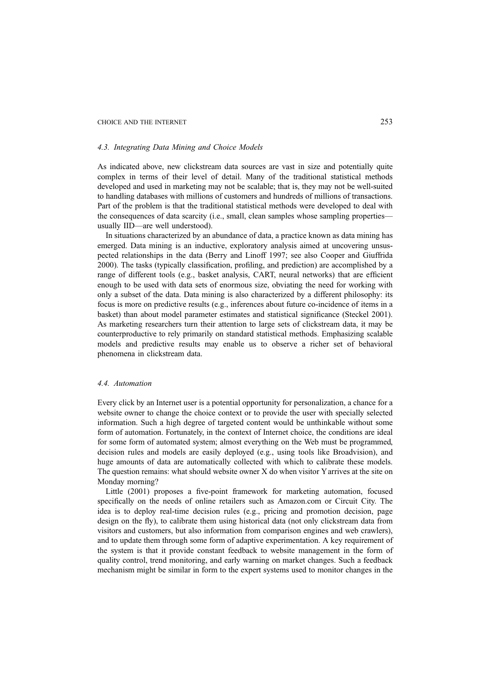#### 4.3. Integrating Data Mining and Choice Models

As indicated above, new clickstream data sources are vast in size and potentially quite complex in terms of their level of detail. Many of the traditional statistical methods developed and used in marketing may not be scalable; that is, they may not be well-suited to handling databases with millions of customers and hundreds of millions of transactions. Part of the problem is that the traditional statistical methods were developed to deal with the consequences of data scarcity (i.e., small, clean samples whose sampling properties usually IID—are well understood).

In situations characterized by an abundance of data, a practice known as data mining has emerged. Data mining is an inductive, exploratory analysis aimed at uncovering unsuspected relationships in the data (Berry and Linoff 1997; see also Cooper and Giuffrida 2000). The tasks (typically classification, profiling, and prediction) are accomplished by a range of different tools (e.g., basket analysis, CART, neural networks) that are efficient enough to be used with data sets of enormous size, obviating the need for working with only a subset of the data. Data mining is also characterized by a different philosophy: its focus is more on predictive results (e.g., inferences about future co-incidence of items in a basket) than about model parameter estimates and statistical significance (Steckel 2001). As marketing researchers turn their attention to large sets of clickstream data, it may be counterproductive to rely primarily on standard statistical methods. Emphasizing scalable models and predictive results may enable us to observe a richer set of behavioral phenomena in clickstream data.

### 4.4. Automation

Every click by an Internet user is a potential opportunity for personalization, a chance for a website owner to change the choice context or to provide the user with specially selected information. Such a high degree of targeted content would be unthinkable without some form of automation. Fortunately, in the context of Internet choice, the conditions are ideal for some form of automated system; almost everything on the Web must be programmed, decision rules and models are easily deployed (e.g., using tools like Broadvision), and huge amounts of data are automatically collected with which to calibrate these models. The question remains: what should website owner X do when visitor Yarrives at the site on Monday morning?

Little (2001) proposes a five-point framework for marketing automation, focused specifically on the needs of online retailers such as Amazon.com or Circuit City. The idea is to deploy real-time decision rules (e.g., pricing and promotion decision, page design on the fly), to calibrate them using historical data (not only clickstream data from visitors and customers, but also information from comparison engines and web crawlers), and to update them through some form of adaptive experimentation. A key requirement of the system is that it provide constant feedback to website management in the form of quality control, trend monitoring, and early warning on market changes. Such a feedback mechanism might be similar in form to the expert systems used to monitor changes in the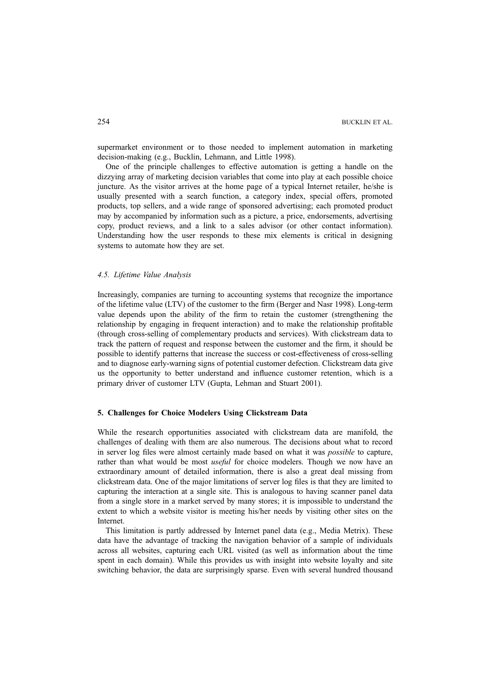supermarket environment or to those needed to implement automation in marketing decision-making (e.g., Bucklin, Lehmann, and Little 1998).

One of the principle challenges to effective automation is getting a handle on the dizzying array of marketing decision variables that come into play at each possible choice juncture. As the visitor arrives at the home page of a typical Internet retailer, he/she is usually presented with a search function, a category index, special offers, promoted products, top sellers, and a wide range of sponsored advertising; each promoted product may by accompanied by information such as a picture, a price, endorsements, advertising copy, product reviews, and a link to a sales advisor (or other contact information). Understanding how the user responds to these mix elements is critical in designing systems to automate how they are set.

# 4.5. Lifetime Value Analysis

Increasingly, companies are turning to accounting systems that recognize the importance of the lifetime value (LTV) of the customer to the firm (Berger and Nasr 1998). Long-term value depends upon the ability of the firm to retain the customer (strengthening the relationship by engaging in frequent interaction) and to make the relationship profitable (through cross-selling of complementary products and services). With clickstream data to track the pattern of request and response between the customer and the firm, it should be possible to identify patterns that increase the success or cost-effectiveness of cross-selling and to diagnose early-warning signs of potential customer defection. Clickstream data give us the opportunity to better understand and influence customer retention, which is a primary driver of customer LTV (Gupta, Lehman and Stuart 2001).

#### 5. Challenges for Choice Modelers Using Clickstream Data

While the research opportunities associated with clickstream data are manifold, the challenges of dealing with them are also numerous. The decisions about what to record in server log files were almost certainly made based on what it was possible to capture, rather than what would be most *useful* for choice modelers. Though we now have an extraordinary amount of detailed information, there is also a great deal missing from clickstream data. One of the major limitations of server log files is that they are limited to capturing the interaction at a single site. This is analogous to having scanner panel data from a single store in a market served by many stores; it is impossible to understand the extent to which a website visitor is meeting his/her needs by visiting other sites on the Internet.

This limitation is partly addressed by Internet panel data (e.g., Media Metrix). These data have the advantage of tracking the navigation behavior of a sample of individuals across all websites, capturing each URL visited (as well as information about the time spent in each domain). While this provides us with insight into website loyalty and site switching behavior, the data are surprisingly sparse. Even with several hundred thousand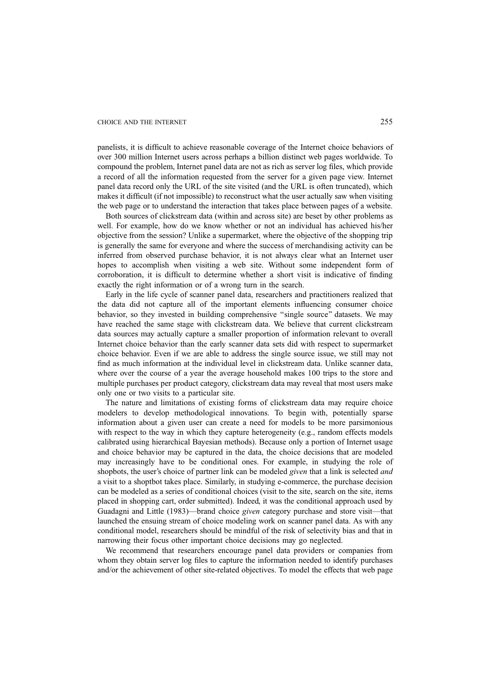panelists, it is difficult to achieve reasonable coverage of the Internet choice behaviors of over 300 million Internet users across perhaps a billion distinct web pages worldwide. To compound the problem, Internet panel data are not as rich as server log files, which provide a record of all the information requested from the server for a given page view. Internet panel data record only the URL of the site visited (and the URL is often truncated), which makes it difficult (if not impossible) to reconstruct what the user actually saw when visiting the web page or to understand the interaction that takes place between pages of a website.

Both sources of clickstream data (within and across site) are beset by other problems as well. For example, how do we know whether or not an individual has achieved his/her objective from the session? Unlike a supermarket, where the objective of the shopping trip is generally the same for everyone and where the success of merchandising activity can be inferred from observed purchase behavior, it is not always clear what an Internet user hopes to accomplish when visiting a web site. Without some independent form of corroboration, it is difficult to determine whether a short visit is indicative of finding exactly the right information or of a wrong turn in the search.

Early in the life cycle of scanner panel data, researchers and practitioners realized that the data did not capture all of the important elements influencing consumer choice behavior, so they invested in building comprehensive "single source" datasets. We may have reached the same stage with clickstream data. We believe that current clickstream data sources may actually capture a smaller proportion of information relevant to overall Internet choice behavior than the early scanner data sets did with respect to supermarket choice behavior. Even if we are able to address the single source issue, we still may not find as much information at the individual level in clickstream data. Unlike scanner data, where over the course of a year the average household makes 100 trips to the store and multiple purchases per product category, clickstream data may reveal that most users make only one or two visits to a particular site.

The nature and limitations of existing forms of clickstream data may require choice modelers to develop methodological innovations. To begin with, potentially sparse information about a given user can create a need for models to be more parsimonious with respect to the way in which they capture heterogeneity (e.g., random effects models calibrated using hierarchical Bayesian methods). Because only a portion of Internet usage and choice behavior may be captured in the data, the choice decisions that are modeled may increasingly have to be conditional ones. For example, in studying the role of shopbots, the user's choice of partner link can be modeled *given* that a link is selected *and* a visit to a shoptbot takes place. Similarly, in studying e-commerce, the purchase decision can be modeled as a series of conditional choices (visit to the site, search on the site, items placed in shopping cart, order submitted). Indeed, it was the conditional approach used by Guadagni and Little (1983)—brand choice given category purchase and store visit—that launched the ensuing stream of choice modeling work on scanner panel data. As with any conditional model, researchers should be mindful of the risk of selectivity bias and that in narrowing their focus other important choice decisions may go neglected.

We recommend that researchers encourage panel data providers or companies from whom they obtain server log files to capture the information needed to identify purchases and/or the achievement of other site-related objectives. To model the effects that web page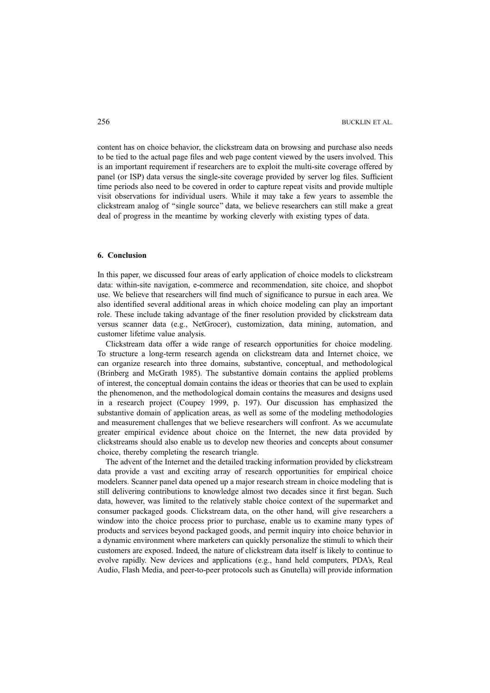content has on choice behavior, the clickstream data on browsing and purchase also needs to be tied to the actual page files and web page content viewed by the users involved. This is an important requirement if researchers are to exploit the multi-site coverage offered by panel (or ISP) data versus the single-site coverage provided by server log files. Sufficient time periods also need to be covered in order to capture repeat visits and provide multiple visit observations for individual users. While it may take a few years to assemble the clickstream analog of ''single source'' data, we believe researchers can still make a great deal of progress in the meantime by working cleverly with existing types of data.

## 6. Conclusion

In this paper, we discussed four areas of early application of choice models to clickstream data: within-site navigation, e-commerce and recommendation, site choice, and shopbot use. We believe that researchers will find much of significance to pursue in each area. We also identified several additional areas in which choice modeling can play an important role. These include taking advantage of the finer resolution provided by clickstream data versus scanner data (e.g., NetGrocer), customization, data mining, automation, and customer lifetime value analysis.

Clickstream data offer a wide range of research opportunities for choice modeling. To structure a long-term research agenda on clickstream data and Internet choice, we can organize research into three domains, substantive, conceptual, and methodological (Brinberg and McGrath 1985). The substantive domain contains the applied problems of interest, the conceptual domain contains the ideas or theories that can be used to explain the phenomenon, and the methodological domain contains the measures and designs used in a research project (Coupey 1999, p. 197). Our discussion has emphasized the substantive domain of application areas, as well as some of the modeling methodologies and measurement challenges that we believe researchers will confront. As we accumulate greater empirical evidence about choice on the Internet, the new data provided by clickstreams should also enable us to develop new theories and concepts about consumer choice, thereby completing the research triangle.

The advent of the Internet and the detailed tracking information provided by clickstream data provide a vast and exciting array of research opportunities for empirical choice modelers. Scanner panel data opened up a major research stream in choice modeling that is still delivering contributions to knowledge almost two decades since it first began. Such data, however, was limited to the relatively stable choice context of the supermarket and consumer packaged goods. Clickstream data, on the other hand, will give researchers a window into the choice process prior to purchase, enable us to examine many types of products and services beyond packaged goods, and permit inquiry into choice behavior in a dynamic environment where marketers can quickly personalize the stimuli to which their customers are exposed. Indeed, the nature of clickstream data itself is likely to continue to evolve rapidly. New devices and applications (e.g., hand held computers, PDA's, Real Audio, Flash Media, and peer-to-peer protocols such as Gnutella) will provide information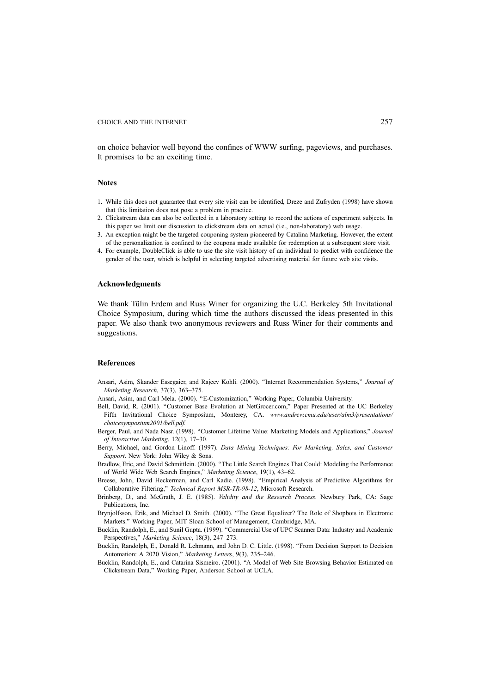on choice behavior well beyond the confines of WWW surfing, pageviews, and purchases. It promises to be an exciting time.

#### **Notes**

- 1. While this does not guarantee that every site visit can be identified, Dreze and Zufryden (1998) have shown that this limitation does not pose a problem in practice.
- 2. Clickstream data can also be collected in a laboratory setting to record the actions of experiment subjects. In this paper we limit our discussion to clickstream data on actual (i.e., non-laboratory) web usage.
- 3. An exception might be the targeted couponing system pioneered by Catalina Marketing. However, the extent of the personalization is confined to the coupons made available for redemption at a subsequent store visit.
- 4. For example, DoubleClick is able to use the site visit history of an individual to predict with confidence the gender of the user, which is helpful in selecting targeted advertising material for future web site visits.

#### Acknowledgments

We thank Tülin Erdem and Russ Winer for organizing the U.C. Berkeley 5th Invitational Choice Symposium, during which time the authors discussed the ideas presented in this paper. We also thank two anonymous reviewers and Russ Winer for their comments and suggestions.

#### References

- Ansari, Asim, Skander Essegaier, and Rajeev Kohli. (2000). "Internet Recommendation Systems," Journal of Marketing Research, 37(3), 363–375.
- Ansari, Asim, and Carl Mela. (2000). "E-Customization," Working Paper, Columbia University.
- Bell, David, R. (2001). "Customer Base Evolution at NetGrocer.com," Paper Presented at the UC Berkeley Fifth Invitational Choice Symposium, Monterey, CA. www.andrew.cmu.edu/user/alm3/presentations/ choicesymposium2001/bell.pdf.
- Berger, Paul, and Nada Nasr. (1998). ''Customer Lifetime Value: Marketing Models and Applications,'' Journal of Interactive Marketing, 12(1), 17–30.
- Berry, Michael, and Gordon Linoff. (1997). Data Mining Techniques: For Marketing, Sales, and Customer Support. New York: John Wiley & Sons.
- Bradlow, Eric, and David Schmittlein. (2000). ''The Little Search Engines That Could: Modeling the Performance of World Wide Web Search Engines,'' Marketing Science, 19(1), 43–62.
- Breese, John, David Heckerman, and Carl Kadie. (1998). ''Empirical Analysis of Predictive Algorithms for Collaborative Filtering,'' Technical Report MSR-TR-98-12, Microsoft Research.
- Brinberg, D., and McGrath, J. E. (1985). Validity and the Research Process. Newbury Park, CA: Sage Publications, Inc.
- Brynjolfsson, Erik, and Michael D. Smith. (2000). ''The Great Equalizer? The Role of Shopbots in Electronic Markets.'' Working Paper, MIT Sloan School of Management, Cambridge, MA.
- Bucklin, Randolph, E., and Sunil Gupta. (1999). ''Commercial Use of UPC Scanner Data: Industry and Academic Perspectives," Marketing Science, 18(3), 247-273.
- Bucklin, Randolph, E., Donald R. Lehmann, and John D. C. Little. (1998). ''From Decision Support to Decision Automation: A 2020 Vision," Marketing Letters, 9(3), 235-246.
- Bucklin, Randolph, E., and Catarina Sismeiro. (2001). ''A Model of Web Site Browsing Behavior Estimated on Clickstream Data,'' Working Paper, Anderson School at UCLA.